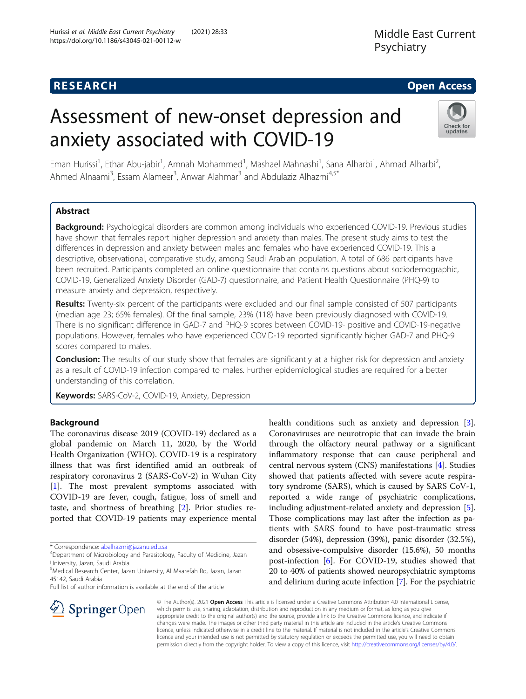Hurissi et al. Middle East Current Psychiatry (2021) 28:33

https://doi.org/10.1186/s43045-021-00112-w

# Assessment of new-onset depression and anxiety associated with COVID-19



Eman Hurissi<sup>1</sup>, Ethar Abu-jabir<sup>1</sup>, Amnah Mohammed<sup>1</sup>, Mashael Mahnashi<sup>1</sup>, Sana Alharbi<sup>1</sup>, Ahmad Alharbi<sup>2</sup> , Ahmed Alnaami<sup>3</sup>, Essam Alameer<sup>3</sup>, Anwar Alahmar<sup>3</sup> and Abdulaziz Alhazmi<sup>4,5\*</sup>

# Abstract

Background: Psychological disorders are common among individuals who experienced COVID-19. Previous studies have shown that females report higher depression and anxiety than males. The present study aims to test the differences in depression and anxiety between males and females who have experienced COVID-19. This a descriptive, observational, comparative study, among Saudi Arabian population. A total of 686 participants have been recruited. Participants completed an online questionnaire that contains questions about sociodemographic, COVID-19, Generalized Anxiety Disorder (GAD-7) questionnaire, and Patient Health Questionnaire (PHQ-9) to measure anxiety and depression, respectively.

Results: Twenty-six percent of the participants were excluded and our final sample consisted of 507 participants (median age 23; 65% females). Of the final sample, 23% (118) have been previously diagnosed with COVID-19. There is no significant difference in GAD-7 and PHQ-9 scores between COVID-19- positive and COVID-19-negative populations. However, females who have experienced COVID-19 reported significantly higher GAD-7 and PHQ-9 scores compared to males.

**Conclusion:** The results of our study show that females are significantly at a higher risk for depression and anxiety as a result of COVID-19 infection compared to males. Further epidemiological studies are required for a better understanding of this correlation.

Keywords: SARS-CoV-2, COVID-19, Anxiety, Depression

# Background

The coronavirus disease 2019 (COVID-19) declared as a global pandemic on March 11, 2020, by the World Health Organization (WHO). COVID-19 is a respiratory illness that was first identified amid an outbreak of respiratory coronavirus 2 (SARS-CoV-2) in Wuhan City [[1\]](#page-5-0). The most prevalent symptoms associated with COVID-19 are fever, cough, fatigue, loss of smell and taste, and shortness of breathing [\[2](#page-5-0)]. Prior studies reported that COVID-19 patients may experience mental

\* Correspondence: [abalhazmi@jazanu.edu.sa](mailto:abalhazmi@jazanu.edu.sa) <sup>4</sup>

Full list of author information is available at the end of the article

health conditions such as anxiety and depression [\[3](#page-5-0)]. Coronaviruses are neurotropic that can invade the brain through the olfactory neural pathway or a significant inflammatory response that can cause peripheral and central nervous system (CNS) manifestations [[4\]](#page-5-0). Studies showed that patients affected with severe acute respiratory syndrome (SARS), which is caused by SARS CoV-1, reported a wide range of psychiatric complications, including adjustment-related anxiety and depression [\[5](#page-5-0)]. Those complications may last after the infection as patients with SARS found to have post-traumatic stress disorder (54%), depression (39%), panic disorder (32.5%), and obsessive-compulsive disorder (15.6%), 50 months post-infection [\[6](#page-5-0)]. For COVID-19, studies showed that 20 to 40% of patients showed neuropsychiatric symptoms and delirium during acute infection [[7\]](#page-5-0). For the psychiatric



© The Author(s). 2021 Open Access This article is licensed under a Creative Commons Attribution 4.0 International License, which permits use, sharing, adaptation, distribution and reproduction in any medium or format, as long as you give appropriate credit to the original author(s) and the source, provide a link to the Creative Commons licence, and indicate if changes were made. The images or other third party material in this article are included in the article's Creative Commons licence, unless indicated otherwise in a credit line to the material. If material is not included in the article's Creative Commons licence and your intended use is not permitted by statutory regulation or exceeds the permitted use, you will need to obtain permission directly from the copyright holder. To view a copy of this licence, visit <http://creativecommons.org/licenses/by/4.0/>.

<sup>&</sup>lt;sup>4</sup>Department of Microbiology and Parasitology, Faculty of Medicine, Jazan University, Jazan, Saudi Arabia

<sup>&</sup>lt;sup>5</sup>Medical Research Center, Jazan University, Al Maarefah Rd, Jazan, Jazan 45142, Saudi Arabia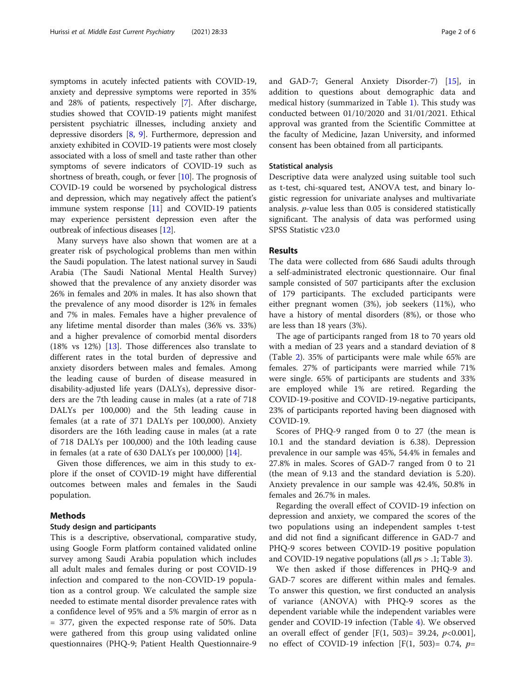symptoms in acutely infected patients with COVID-19, anxiety and depressive symptoms were reported in 35% and 28% of patients, respectively [\[7](#page-5-0)]. After discharge, studies showed that COVID-19 patients might manifest persistent psychiatric illnesses, including anxiety and depressive disorders [\[8,](#page-5-0) [9\]](#page-5-0). Furthermore, depression and anxiety exhibited in COVID-19 patients were most closely associated with a loss of smell and taste rather than other symptoms of severe indicators of COVID-19 such as shortness of breath, cough, or fever [[10](#page-5-0)]. The prognosis of COVID-19 could be worsened by psychological distress and depression, which may negatively affect the patient's immune system response  $[11]$  $[11]$  and COVID-19 patients may experience persistent depression even after the outbreak of infectious diseases [[12](#page-5-0)].

Many surveys have also shown that women are at a greater risk of psychological problems than men within the Saudi population. The latest national survey in Saudi Arabia (The Saudi National Mental Health Survey) showed that the prevalence of any anxiety disorder was 26% in females and 20% in males. It has also shown that the prevalence of any mood disorder is 12% in females and 7% in males. Females have a higher prevalence of any lifetime mental disorder than males (36% vs. 33%) and a higher prevalence of comorbid mental disorders (18% vs 12%) [[13](#page-5-0)]. Those differences also translate to different rates in the total burden of depressive and anxiety disorders between males and females. Among the leading cause of burden of disease measured in disability-adjusted life years (DALYs), depressive disorders are the 7th leading cause in males (at a rate of 718 DALYs per 100,000) and the 5th leading cause in females (at a rate of 371 DALYs per 100,000). Anxiety disorders are the 16th leading cause in males (at a rate of 718 DALYs per 100,000) and the 10th leading cause in females (at a rate of 630 DALYs per 100,000) [[14\]](#page-5-0).

Given those differences, we aim in this study to explore if the onset of COVID-19 might have differential outcomes between males and females in the Saudi population.

## Methods

### Study design and participants

This is a descriptive, observational, comparative study, using Google Form platform contained validated online survey among Saudi Arabia population which includes all adult males and females during or post COVID-19 infection and compared to the non-COVID-19 population as a control group. We calculated the sample size needed to estimate mental disorder prevalence rates with a confidence level of 95% and a 5% margin of error as n = 377, given the expected response rate of 50%. Data were gathered from this group using validated online questionnaires (PHQ-9; Patient Health Questionnaire-9 and GAD-7; General Anxiety Disorder-7) [\[15](#page-5-0)], in addition to questions about demographic data and medical history (summarized in Table [1\)](#page-2-0). This study was conducted between 01/10/2020 and 31/01/2021. Ethical approval was granted from the Scientific Committee at the faculty of Medicine, Jazan University, and informed consent has been obtained from all participants.

#### Statistical analysis

Descriptive data were analyzed using suitable tool such as t-test, chi-squared test, ANOVA test, and binary logistic regression for univariate analyses and multivariate analysis. p-value less than 0.05 is considered statistically significant. The analysis of data was performed using SPSS Statistic v23.0

# Results

The data were collected from 686 Saudi adults through a self-administrated electronic questionnaire. Our final sample consisted of 507 participants after the exclusion of 179 participants. The excluded participants were either pregnant women (3%), job seekers (11%), who have a history of mental disorders (8%), or those who are less than 18 years (3%).

The age of participants ranged from 18 to 70 years old with a median of 23 years and a standard deviation of 8 (Table [2\)](#page-3-0). 35% of participants were male while 65% are females. 27% of participants were married while 71% were single. 65% of participants are students and 33% are employed while 1% are retired. Regarding the COVID-19-positive and COVID-19-negative participants, 23% of participants reported having been diagnosed with COVID-19.

Scores of PHQ-9 ranged from 0 to 27 (the mean is 10.1 and the standard deviation is 6.38). Depression prevalence in our sample was 45%, 54.4% in females and 27.8% in males. Scores of GAD-7 ranged from 0 to 21 (the mean of 9.13 and the standard deviation is 5.20). Anxiety prevalence in our sample was 42.4%, 50.8% in females and 26.7% in males.

Regarding the overall effect of COVID-19 infection on depression and anxiety, we compared the scores of the two populations using an independent samples t-test and did not find a significant difference in GAD-7 and PHQ-9 scores between COVID-19 positive population and COVID-19 negative populations (all  $ps > .1$ ; Table [3\)](#page-3-0).

We then asked if those differences in PHQ-9 and GAD-7 scores are different within males and females. To answer this question, we first conducted an analysis of variance (ANOVA) with PHQ-9 scores as the dependent variable while the independent variables were gender and COVID-19 infection (Table [4](#page-4-0)). We observed an overall effect of gender [F(1, 503)= 39.24,  $p<0.001$ ], no effect of COVID-19 infection [F(1, 503)= 0.74,  $p=$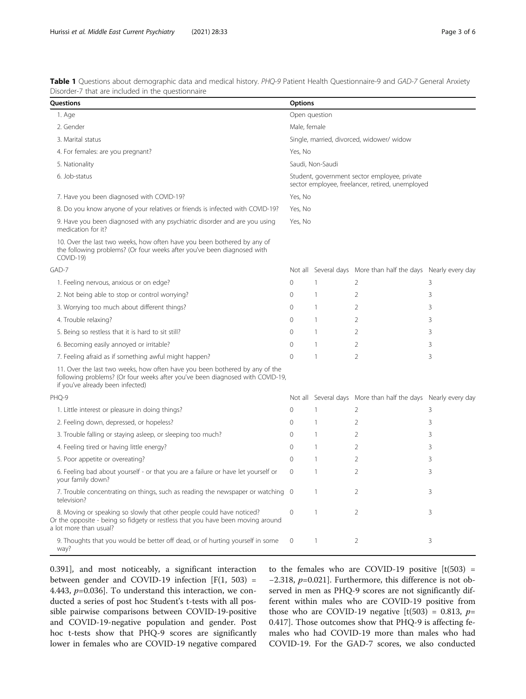<span id="page-2-0"></span>Table 1 Questions about demographic data and medical history. PHQ-9 Patient Health Questionnaire-9 and GAD-7 General Anxiety Disorder-7 that are included in the questionnaire

| Questions                                                                                                                                                                                        |                                                                                                  | <b>Options</b>   |                                                               |   |  |
|--------------------------------------------------------------------------------------------------------------------------------------------------------------------------------------------------|--------------------------------------------------------------------------------------------------|------------------|---------------------------------------------------------------|---|--|
| 1. Age                                                                                                                                                                                           | Open question                                                                                    |                  |                                                               |   |  |
| 2. Gender                                                                                                                                                                                        | Male, female                                                                                     |                  |                                                               |   |  |
| 3. Marital status                                                                                                                                                                                | Single, married, divorced, widower/ widow                                                        |                  |                                                               |   |  |
| 4. For females: are you pregnant?                                                                                                                                                                | Yes, No                                                                                          |                  |                                                               |   |  |
| 5. Nationality                                                                                                                                                                                   |                                                                                                  | Saudi, Non-Saudi |                                                               |   |  |
| 6. Job-status                                                                                                                                                                                    | Student, government sector employee, private<br>sector employee, freelancer, retired, unemployed |                  |                                                               |   |  |
| 7. Have you been diagnosed with COVID-19?                                                                                                                                                        | Yes, No                                                                                          |                  |                                                               |   |  |
| 8. Do you know anyone of your relatives or friends is infected with COVID-19?                                                                                                                    | Yes, No                                                                                          |                  |                                                               |   |  |
| 9. Have you been diagnosed with any psychiatric disorder and are you using<br>medication for it?                                                                                                 | Yes, No                                                                                          |                  |                                                               |   |  |
| 10. Over the last two weeks, how often have you been bothered by any of<br>the following problems? (Or four weeks after you've been diagnosed with<br>COVID-19)                                  |                                                                                                  |                  |                                                               |   |  |
| GAD-7                                                                                                                                                                                            |                                                                                                  |                  | Not all Several days More than half the days Nearly every day |   |  |
| 1. Feeling nervous, anxious or on edge?                                                                                                                                                          | $\Omega$                                                                                         | $\mathbf{1}$     | $\overline{2}$                                                | 3 |  |
| 2. Not being able to stop or control worrying?                                                                                                                                                   | $\Omega$                                                                                         | $\mathbf{1}$     | $\overline{2}$                                                | 3 |  |
| 3. Worrying too much about different things?                                                                                                                                                     |                                                                                                  | $\overline{1}$   | $\overline{2}$                                                | 3 |  |
| 4. Trouble relaxing?                                                                                                                                                                             |                                                                                                  | $\mathbf{1}$     | $\overline{2}$                                                | 3 |  |
| 5. Being so restless that it is hard to sit still?                                                                                                                                               | $\Omega$                                                                                         | $\mathbf{1}$     | $\overline{2}$                                                | 3 |  |
| 6. Becoming easily annoyed or irritable?                                                                                                                                                         | 0                                                                                                | $\mathbf{1}$     | $\overline{2}$                                                | 3 |  |
| 7. Feeling afraid as if something awful might happen?                                                                                                                                            | $\Omega$                                                                                         | $\overline{1}$   | $\overline{2}$                                                | 3 |  |
| 11. Over the last two weeks, how often have you been bothered by any of the<br>following problems? (Or four weeks after you've been diagnosed with COVID-19,<br>if you've already been infected) |                                                                                                  |                  |                                                               |   |  |
| PHO-9                                                                                                                                                                                            |                                                                                                  |                  | Not all Several days More than half the days Nearly every day |   |  |
| 1. Little interest or pleasure in doing things?                                                                                                                                                  | $\Omega$                                                                                         | 1                | $\overline{2}$                                                | 3 |  |
| 2. Feeling down, depressed, or hopeless?                                                                                                                                                         | $\Omega$                                                                                         | $\overline{1}$   | $\overline{2}$                                                | 3 |  |
| 3. Trouble falling or staying asleep, or sleeping too much?                                                                                                                                      | $\Omega$                                                                                         | $\overline{1}$   | $\overline{2}$                                                | 3 |  |
| 4. Feeling tired or having little energy?                                                                                                                                                        | $\Omega$                                                                                         | $\overline{1}$   | $\overline{2}$                                                | 3 |  |
| 5. Poor appetite or overeating?                                                                                                                                                                  | $\Omega$                                                                                         | $\overline{1}$   | $\overline{2}$                                                | 3 |  |
| 6. Feeling bad about yourself - or that you are a failure or have let yourself or<br>your family down?                                                                                           | $\mathbf{0}$                                                                                     | $\mathbf{1}$     | $\overline{2}$                                                | 3 |  |
| 7. Trouble concentrating on things, such as reading the newspaper or watching 0<br>television?                                                                                                   |                                                                                                  | $\overline{1}$   | $\overline{2}$                                                | 3 |  |
| 8. Moving or speaking so slowly that other people could have noticed?<br>Or the opposite - being so fidgety or restless that you have been moving around<br>a lot more than usual?               | $\mathbf 0$                                                                                      | $\mathbf{1}$     | 2                                                             | 3 |  |
| 9. Thoughts that you would be better off dead, or of hurting yourself in some<br>way?                                                                                                            | $\mathbf{0}$                                                                                     | $\mathbf{1}$     | $\overline{2}$                                                | 3 |  |

0.391], and most noticeably, a significant interaction between gender and COVID-19 infection  $[F(1, 503) =$ 4.443,  $p=0.036$ ]. To understand this interaction, we conducted a series of post hoc Student's t-tests with all possible pairwise comparisons between COVID-19-positive and COVID-19-negative population and gender. Post hoc t-tests show that PHQ-9 scores are significantly lower in females who are COVID-19 negative compared to the females who are COVID-19 positive  $[t(503) =$  $-2.318$ ,  $p=0.021$ ]. Furthermore, this difference is not observed in men as PHQ-9 scores are not significantly different within males who are COVID-19 positive from those who are COVID-19 negative  $[t(503) = 0.813, p=$ 0.417]. Those outcomes show that PHQ-9 is affecting females who had COVID-19 more than males who had COVID-19. For the GAD-7 scores, we also conducted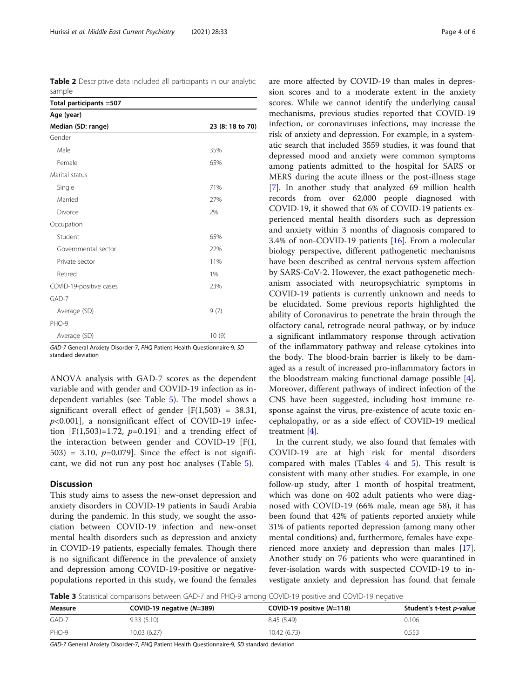<span id="page-3-0"></span>Table 2 Descriptive data included all participants in our analytic sample

| Total participants = 507 |                  |  |  |
|--------------------------|------------------|--|--|
| Age (year)               |                  |  |  |
| Median (SD: range)       | 23 (8: 18 to 70) |  |  |
| Gender                   |                  |  |  |
| Male                     | 35%              |  |  |
| Female                   | 65%              |  |  |
| Marital status           |                  |  |  |
| Single                   | 71%              |  |  |
| Married                  | 27%              |  |  |
| Divorce                  | 2%               |  |  |
| Occupation               |                  |  |  |
| Student                  | 65%              |  |  |
| Governmental sector      | 22%              |  |  |
| Private sector           | 11%              |  |  |
| Retired                  | 1%               |  |  |
| COVID-19-positive cases  | 23%              |  |  |
| GAD-7                    |                  |  |  |
| Average (SD)             | 9(7)             |  |  |
| PHQ-9                    |                  |  |  |
| Average (SD)             | 10(9)            |  |  |

GAD-7 General Anxiety Disorder-7, PHQ Patient Health Questionnaire-9, SD standard deviation

ANOVA analysis with GAD-7 scores as the dependent variable and with gender and COVID-19 infection as independent variables (see Table [5](#page-4-0)). The model shows a significant overall effect of gender  $[F(1,503) = 38.31,$  $p<0.001$ ], a nonsignificant effect of COVID-19 infection  $[F(1,503)=1.72, p=0.191]$  and a trending effect of the interaction between gender and COVID-19 [F(1, 503) = 3.10,  $p=0.079$ ]. Since the effect is not significant, we did not run any post hoc analyses (Table [5\)](#page-4-0).

#### **Discussion**

This study aims to assess the new-onset depression and anxiety disorders in COVID-19 patients in Saudi Arabia during the pandemic. In this study, we sought the association between COVID-19 infection and new-onset mental health disorders such as depression and anxiety in COVID-19 patients, especially females. Though there is no significant difference in the prevalence of anxiety and depression among COVID-19-positive or negativepopulations reported in this study, we found the females are more affected by COVID-19 than males in depression scores and to a moderate extent in the anxiety scores. While we cannot identify the underlying causal mechanisms, previous studies reported that COVID-19 infection, or coronaviruses infections, may increase the risk of anxiety and depression. For example, in a systematic search that included 3559 studies, it was found that depressed mood and anxiety were common symptoms among patients admitted to the hospital for SARS or MERS during the acute illness or the post-illness stage [[7\]](#page-5-0). In another study that analyzed 69 million health records from over 62,000 people diagnosed with COVID-19, it showed that 6% of COVID-19 patients experienced mental health disorders such as depression and anxiety within 3 months of diagnosis compared to 3.4% of non-COVID-19 patients [[16](#page-5-0)]. From a molecular biology perspective, different pathogenetic mechanisms have been described as central nervous system affection by SARS-CoV-2. However, the exact pathogenetic mechanism associated with neuropsychiatric symptoms in COVID-19 patients is currently unknown and needs to be elucidated. Some previous reports highlighted the ability of Coronavirus to penetrate the brain through the olfactory canal, retrograde neural pathway, or by induce a significant inflammatory response through activation of the inflammatory pathway and release cytokines into the body. The blood-brain barrier is likely to be damaged as a result of increased pro-inflammatory factors in the bloodstream making functional damage possible [\[4](#page-5-0)]. Moreover, different pathways of indirect infection of the CNS have been suggested, including host immune response against the virus, pre-existence of acute toxic encephalopathy, or as a side effect of COVID-19 medical treatment [[4\]](#page-5-0).

In the current study, we also found that females with COVID-19 are at high risk for mental disorders compared with males (Tables [4](#page-4-0) and [5](#page-4-0)). This result is consistent with many other studies. For example, in one follow-up study, after 1 month of hospital treatment, which was done on 402 adult patients who were diagnosed with COVID-19 (66% male, mean age 58), it has been found that 42% of patients reported anxiety while 31% of patients reported depression (among many other mental conditions) and, furthermore, females have experienced more anxiety and depression than males [\[17](#page-5-0)]. Another study on 76 patients who were quarantined in fever-isolation wards with suspected COVID-19 to investigate anxiety and depression has found that female

Table 3 Statistical comparisons between GAD-7 and PHQ-9 among COVID-19 positive and COVID-19 negative

| Measure | COVID-19 negative $(N=389)$ | COVID-19 positive $(N=118)$ | Student's t-test p-value |
|---------|-----------------------------|-----------------------------|--------------------------|
| GAD-7   | 9.33(5.10)                  | 8.45 (5.49)                 | 0.106                    |
| PHO-9   | 10.03 (6.27)                | 10.42 (6.73)                | J.553                    |

GAD-7 General Anxiety Disorder-7, PHQ Patient Health Questionnaire-9, SD standard deviation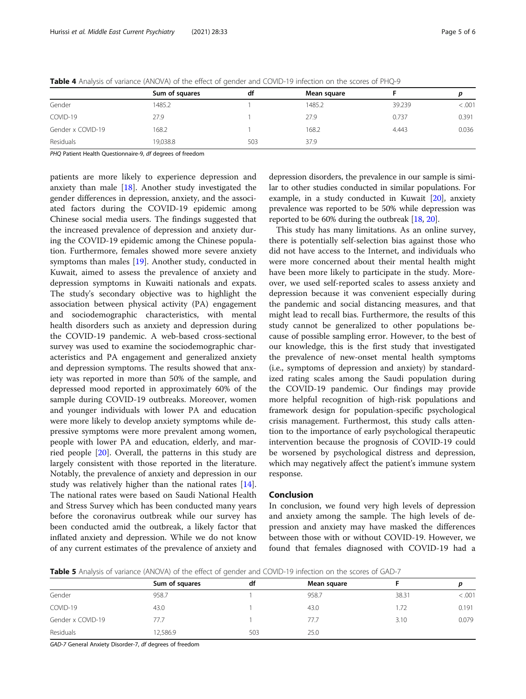|                   | Sum of squares | df  | Mean square |        |         |
|-------------------|----------------|-----|-------------|--------|---------|
| Gender            | 1485.2         |     | 1485.2      | 39.239 | < 0.001 |
| COVID-19          | 27.9           |     | 27.9        | 0.737  | 0.391   |
| Gender x COVID-19 | 168.2          |     | 168.2       | 4.443  | 0.036   |
| Residuals         | 19,038.8       | 503 | 37.9        |        |         |

<span id="page-4-0"></span>Table 4 Analysis of variance (ANOVA) of the effect of gender and COVID-19 infection on the scores of PHQ-9

PHO Patient Health Ouestionnaire-9, df degrees of freedom

patients are more likely to experience depression and anxiety than male  $[18]$  $[18]$ . Another study investigated the gender differences in depression, anxiety, and the associated factors during the COVID-19 epidemic among Chinese social media users. The findings suggested that the increased prevalence of depression and anxiety during the COVID-19 epidemic among the Chinese population. Furthermore, females showed more severe anxiety symptoms than males [\[19](#page-5-0)]. Another study, conducted in Kuwait, aimed to assess the prevalence of anxiety and depression symptoms in Kuwaiti nationals and expats. The study's secondary objective was to highlight the association between physical activity (PA) engagement and sociodemographic characteristics, with mental health disorders such as anxiety and depression during the COVID-19 pandemic. A web-based cross-sectional survey was used to examine the sociodemographic characteristics and PA engagement and generalized anxiety and depression symptoms. The results showed that anxiety was reported in more than 50% of the sample, and depressed mood reported in approximately 60% of the sample during COVID-19 outbreaks. Moreover, women and younger individuals with lower PA and education were more likely to develop anxiety symptoms while depressive symptoms were more prevalent among women, people with lower PA and education, elderly, and married people [[20\]](#page-5-0). Overall, the patterns in this study are largely consistent with those reported in the literature. Notably, the prevalence of anxiety and depression in our study was relatively higher than the national rates [\[14](#page-5-0)]. The national rates were based on Saudi National Health and Stress Survey which has been conducted many years before the coronavirus outbreak while our survey has been conducted amid the outbreak, a likely factor that inflated anxiety and depression. While we do not know of any current estimates of the prevalence of anxiety and depression disorders, the prevalence in our sample is similar to other studies conducted in similar populations. For example, in a study conducted in Kuwait [\[20\]](#page-5-0), anxiety prevalence was reported to be 50% while depression was reported to be 60% during the outbreak [[18](#page-5-0), [20\]](#page-5-0).

This study has many limitations. As an online survey, there is potentially self-selection bias against those who did not have access to the Internet, and individuals who were more concerned about their mental health might have been more likely to participate in the study. Moreover, we used self-reported scales to assess anxiety and depression because it was convenient especially during the pandemic and social distancing measures, and that might lead to recall bias. Furthermore, the results of this study cannot be generalized to other populations because of possible sampling error. However, to the best of our knowledge, this is the first study that investigated the prevalence of new-onset mental health symptoms (i.e., symptoms of depression and anxiety) by standardized rating scales among the Saudi population during the COVID-19 pandemic. Our findings may provide more helpful recognition of high-risk populations and framework design for population-specific psychological crisis management. Furthermost, this study calls attention to the importance of early psychological therapeutic intervention because the prognosis of COVID-19 could be worsened by psychological distress and depression, which may negatively affect the patient's immune system response.

# Conclusion

In conclusion, we found very high levels of depression and anxiety among the sample. The high levels of depression and anxiety may have masked the differences between those with or without COVID-19. However, we found that females diagnosed with COVID-19 had a

Table 5 Analysis of variance (ANOVA) of the effect of gender and COVID-19 infection on the scores of GAD-7

|                   | Sum of squares | df  | Mean square |       |         |
|-------------------|----------------|-----|-------------|-------|---------|
| Gender            | 958.7          |     | 958.7       | 38.31 | < 0.001 |
| COVID-19          | 43.0           |     | 43.0        | 1.72  | 0.191   |
| Gender x COVID-19 | 77.7           |     | 77.7        | 3.10  | 0.079   |
| Residuals         | 2,586.9        | 503 | 25.0        |       |         |

GAD-7 General Anxiety Disorder-7, df degrees of freedom